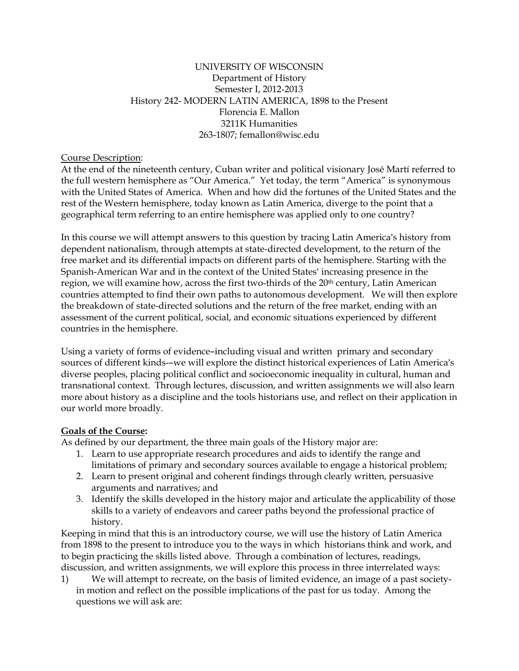### UNIVERSITY OF WISCONSIN Department of History Semester I, 2012-2013 History 242- MODERN LATIN AMERICA, 1898 to the Present Florencia E. Mallon 3211K Humanities 263-1807; femallon@wisc.edu

#### Course Description:

At the end of the nineteenth century, Cuban writer and political visionary José Martí referred to the full western hemisphere as "Our America." Yet today, the term "America" is synonymous with the United States of America. When and how did the fortunes of the United States and the rest of the Western hemisphere, today known as Latin America, diverge to the point that a geographical term referring to an entire hemisphere was applied only to one country?

In this course we will attempt answers to this question by tracing Latin America's history from dependent nationalism, through attempts at state-directed development, to the return of the free market and its differential impacts on different parts of the hemisphere. Starting with the Spanish-American War and in the context of the United States' increasing presence in the region, we will examine how, across the first two-thirds of the 20th century, Latin American countries attempted to find their own paths to autonomous development. We will then explore the breakdown of state-directed solutions and the return of the free market, ending with an assessment of the current political, social, and economic situations experienced by different countries in the hemisphere.

Using a variety of forms of evidence-including visual and written primary and secondary sources of different kinds--we will explore the distinct historical experiences of Latin America's diverse peoples, placing political conflict and socioeconomic inequality in cultural, human and transnational context. Through lectures, discussion, and written assignments we will also learn more about history as a discipline and the tools historians use, and reflect on their application in our world more broadly.

### **Goals of the Course:**

As defined by our department, the three main goals of the History major are:

- 1. Learn to use appropriate research procedures and aids to identify the range and limitations of primary and secondary sources available to engage a historical problem;
- 2. Learn to present original and coherent findings through clearly written, persuasive arguments and narratives; and
- 3. Identify the skills developed in the history major and articulate the applicability of those skills to a variety of endeavors and career paths beyond the professional practice of history.

Keeping in mind that this is an introductory course, we will use the history of Latin America from 1898 to the present to introduce you to the ways in which historians think and work, and to begin practicing the skills listed above. Through a combination of lectures, readings, discussion, and written assignments, we will explore this process in three interrelated ways:

1) We will attempt to recreate, on the basis of limited evidence, an image of a past societyin motion and reflect on the possible implications of the past for us today. Among the questions we will ask are: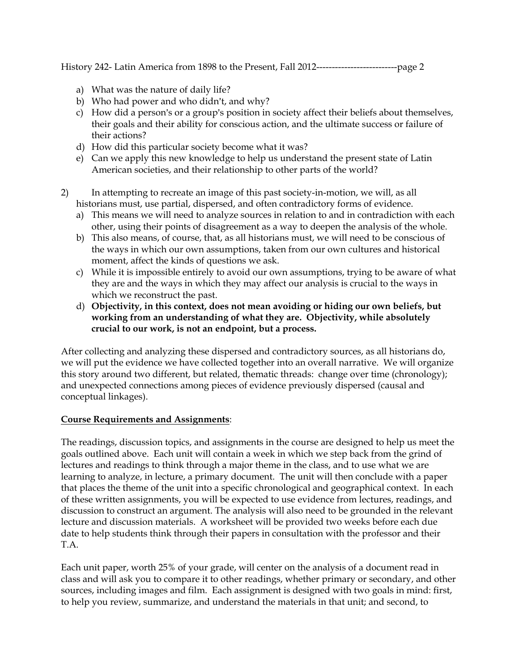- a) What was the nature of daily life?
- b) Who had power and who didn't, and why?
- c) How did a person's or a group's position in society affect their beliefs about themselves, their goals and their ability for conscious action, and the ultimate success or failure of their actions?
- d) How did this particular society become what it was?
- e) Can we apply this new knowledge to help us understand the present state of Latin American societies, and their relationship to other parts of the world?
- 2) In attempting to recreate an image of this past society-in-motion, we will, as all historians must, use partial, dispersed, and often contradictory forms of evidence.
	- a) This means we will need to analyze sources in relation to and in contradiction with each other, using their points of disagreement as a way to deepen the analysis of the whole.
	- b) This also means, of course, that, as all historians must, we will need to be conscious of the ways in which our own assumptions, taken from our own cultures and historical moment, affect the kinds of questions we ask.
	- c) While it is impossible entirely to avoid our own assumptions, trying to be aware of what they are and the ways in which they may affect our analysis is crucial to the ways in which we reconstruct the past.
	- d) **Objectivity, in this context, does not mean avoiding or hiding our own beliefs, but working from an understanding of what they are. Objectivity, while absolutely crucial to our work, is not an endpoint, but a process.**

After collecting and analyzing these dispersed and contradictory sources, as all historians do, we will put the evidence we have collected together into an overall narrative. We will organize this story around two different, but related, thematic threads: change over time (chronology); and unexpected connections among pieces of evidence previously dispersed (causal and conceptual linkages).

## **Course Requirements and Assignments**:

The readings, discussion topics, and assignments in the course are designed to help us meet the goals outlined above. Each unit will contain a week in which we step back from the grind of lectures and readings to think through a major theme in the class, and to use what we are learning to analyze, in lecture, a primary document. The unit will then conclude with a paper that places the theme of the unit into a specific chronological and geographical context. In each of these written assignments, you will be expected to use evidence from lectures, readings, and discussion to construct an argument. The analysis will also need to be grounded in the relevant lecture and discussion materials. A worksheet will be provided two weeks before each due date to help students think through their papers in consultation with the professor and their T.A.

Each unit paper, worth 25% of your grade, will center on the analysis of a document read in class and will ask you to compare it to other readings, whether primary or secondary, and other sources, including images and film. Each assignment is designed with two goals in mind: first, to help you review, summarize, and understand the materials in that unit; and second, to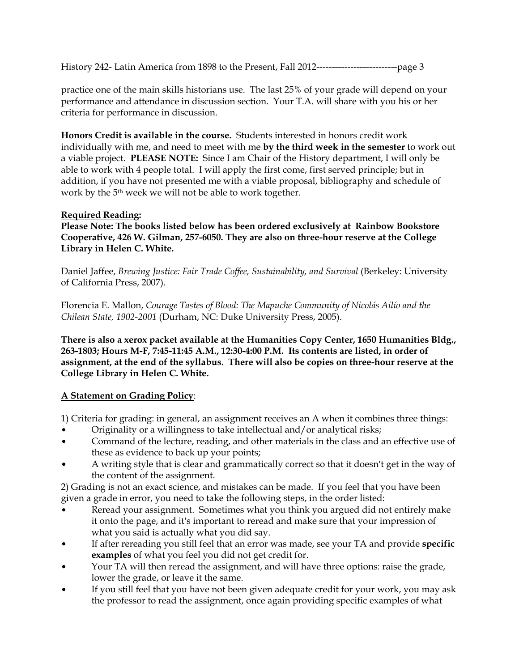practice one of the main skills historians use. The last 25% of your grade will depend on your performance and attendance in discussion section. Your T.A. will share with you his or her criteria for performance in discussion.

**Honors Credit is available in the course.** Students interested in honors credit work individually with me, and need to meet with me **by the third week in the semester** to work out a viable project. **PLEASE NOTE:** Since I am Chair of the History department, I will only be able to work with 4 people total. I will apply the first come, first served principle; but in addition, if you have not presented me with a viable proposal, bibliography and schedule of work by the 5th week we will not be able to work together.

## **Required Reading:**

**Please Note: The books listed below has been ordered exclusively at Rainbow Bookstore Cooperative, 426 W. Gilman, 257-6050. They are also on three-hour reserve at the College Library in Helen C. White.** 

Daniel Jaffee, *Brewing Justice: Fair Trade Coffee, Sustainability, and Survival* (Berkeley: University of California Press, 2007).

Florencia E. Mallon, *Courage Tastes of Blood: The Mapuche Community of Nicolás Ailío and the Chilean State, 1902-2001* (Durham, NC: Duke University Press, 2005).

**There is also a xerox packet available at the Humanities Copy Center, 1650 Humanities Bldg., 263-1803; Hours M-F, 7:45-11:45 A.M., 12:30-4:00 P.M. Its contents are listed, in order of assignment, at the end of the syllabus. There will also be copies on three-hour reserve at the College Library in Helen C. White.**

## **A Statement on Grading Policy**:

1) Criteria for grading: in general, an assignment receives an A when it combines three things:

- Originality or a willingness to take intellectual and/or analytical risks;
- Command of the lecture, reading, and other materials in the class and an effective use of these as evidence to back up your points;
- A writing style that is clear and grammatically correct so that it doesn't get in the way of the content of the assignment.

2) Grading is not an exact science, and mistakes can be made. If you feel that you have been given a grade in error, you need to take the following steps, in the order listed:

- Reread your assignment. Sometimes what you think you argued did not entirely make it onto the page, and it's important to reread and make sure that your impression of what you said is actually what you did say.
- If after rereading you still feel that an error was made, see your TA and provide specific **examples** of what you feel you did not get credit for.
- Your TA will then reread the assignment, and will have three options: raise the grade, lower the grade, or leave it the same.
- If you still feel that you have not been given adequate credit for your work, you may ask the professor to read the assignment, once again providing specific examples of what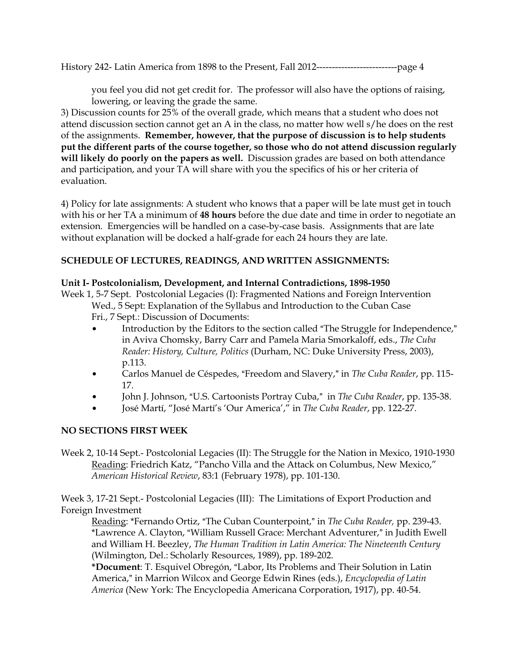you feel you did not get credit for. The professor will also have the options of raising, lowering, or leaving the grade the same.

3) Discussion counts for 25% of the overall grade, which means that a student who does not attend discussion section cannot get an A in the class, no matter how well s/he does on the rest of the assignments. **Remember, however, that the purpose of discussion is to help students put the different parts of the course together, so those who do not attend discussion regularly will likely do poorly on the papers as well.** Discussion grades are based on both attendance and participation, and your TA will share with you the specifics of his or her criteria of evaluation.

4) Policy for late assignments: A student who knows that a paper will be late must get in touch with his or her TA a minimum of **48 hours** before the due date and time in order to negotiate an extension. Emergencies will be handled on a case-by-case basis. Assignments that are late without explanation will be docked a half-grade for each 24 hours they are late.

## **SCHEDULE OF LECTURES, READINGS, AND WRITTEN ASSIGNMENTS:**

### **Unit I- Postcolonialism, Development, and Internal Contradictions, 1898-1950**

Week 1, 5-7 Sept. Postcolonial Legacies (I): Fragmented Nations and Foreign Intervention Wed., 5 Sept: Explanation of the Syllabus and Introduction to the Cuban Case Fri., 7 Sept.: Discussion of Documents:

- Introduction by the Editors to the section called "The Struggle for Independence," in Aviva Chomsky, Barry Carr and Pamela Maria Smorkaloff, eds., *The Cuba Reader: History, Culture, Politics* (Durham, NC: Duke University Press, 2003), p.113.
- Carlos Manuel de Céspedes, "Freedom and Slavery," in *The Cuba Reader*, pp. 115-17.
- John J. Johnson, "U.S. Cartoonists Portray Cuba," in *The Cuba Reader*, pp. 135-38.
- \$ José Martí, "José Martí's 'Our America'," in *The Cuba Reader*, pp. 122-27.

## **NO SECTIONS FIRST WEEK**

Week 2, 10-14 Sept.- Postcolonial Legacies (II): The Struggle for the Nation in Mexico, 1910-1930 Reading: Friedrich Katz, "Pancho Villa and the Attack on Columbus, New Mexico," *American Historical Review*, 83:1 (February 1978), pp. 101-130.

Week 3, 17-21 Sept.- Postcolonial Legacies (III): The Limitations of Export Production and Foreign Investment

Reading: \*Fernando Ortiz, "The Cuban Counterpoint," in *The Cuba Reader*, pp. 239-43. \*Lawrence A. Clayton, "William Russell Grace: Merchant Adventurer," in Judith Ewell and William H. Beezley, *The Human Tradition in Latin America: The Nineteenth Century* (Wilmington, Del.: Scholarly Resources, 1989), pp. 189-202.

\*Document: T. Esquivel Obregón, "Labor, Its Problems and Their Solution in Latin America," in Marrion Wilcox and George Edwin Rines (eds.), *Encyclopedia of Latin America* (New York: The Encyclopedia Americana Corporation, 1917), pp. 40-54.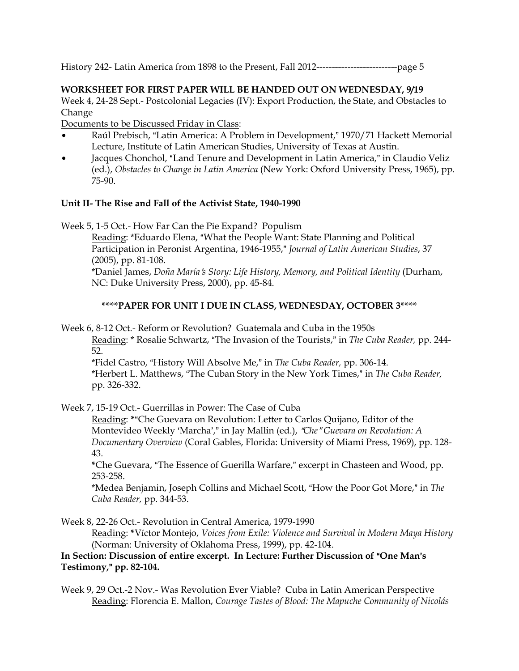### **WORKSHEET FOR FIRST PAPER WILL BE HANDED OUT ON WEDNESDAY, 9/19**

Week 4, 24-28 Sept.- Postcolonial Legacies (IV): Export Production, the State, and Obstacles to Change

Documents to be Discussed Friday in Class:

- Raúl Prebisch, "Latin America: A Problem in Development," 1970/71 Hackett Memorial Lecture, Institute of Latin American Studies, University of Texas at Austin.
- Jacques Chonchol, "Land Tenure and Development in Latin America," in Claudio Veliz (ed.), *Obstacles to Change in Latin America* (New York: Oxford University Press, 1965), pp. 75-90.

#### **Unit II- The Rise and Fall of the Activist State, 1940-1990**

Week 5, 1-5 Oct.- How Far Can the Pie Expand? Populism

Reading: \*Eduardo Elena, "What the People Want: State Planning and Political Participation in Peronist Argentina, 1946-1955," Journal of Latin American Studies, 37 (2005), pp. 81-108.

\*Daniel James, *Doña María*=*s Story: Life History, Memory, and Political Identity* (Durham, NC: Duke University Press, 2000), pp. 45-84.

### **\*\*\*\*PAPER FOR UNIT I DUE IN CLASS, WEDNESDAY, OCTOBER 3\*\*\*\***

Week 6, 8-12 Oct.- Reform or Revolution? Guatemala and Cuba in the 1950s

Reading: \* Rosalie Schwartz, "The Invasion of the Tourists," in *The Cuba Reader*, pp. 244-52.

\*Fidel Castro, "History Will Absolve Me," in *The Cuba Reader*, pp. 306-14. \*Herbert L. Matthews, "The Cuban Story in the New York Times," in *The Cuba Reader*, pp. 326-332.

Week 7, 15-19 Oct.- Guerrillas in Power: The Case of Cuba

Reading: \*"Che Guevara on Revolution: Letter to Carlos Quijano, Editor of the Montevideo Weekly 'Marcha'," in Jay Mallin (ed.), "Che "Guevara on Revolution: A *Documentary Overview* (Coral Gables, Florida: University of Miami Press, 1969), pp. 128- 43.

\*Che Guevara, "The Essence of Guerilla Warfare," excerpt in Chasteen and Wood, pp. 253-258.

\*Medea Benjamin, Joseph Collins and Michael Scott, "How the Poor Got More," in *The Cuba Reader,* pp. 344-53.

Week 8, 22-26 Oct.- Revolution in Central America, 1979-1990

Reading: **\***Víctor Montejo, *Voices from Exile: Violence and Survival in Modern Maya History* (Norman: University of Oklahoma Press, 1999), pp. 42-104.

### In Section: Discussion of entire excerpt. In Lecture: Further Discussion of "One Man's **Testimony,**@ **pp. 82-104.**

Week 9, 29 Oct.-2 Nov.- Was Revolution Ever Viable? Cuba in Latin American Perspective Reading: Florencia E. Mallon, *Courage Tastes of Blood: The Mapuche Community of Nicolás*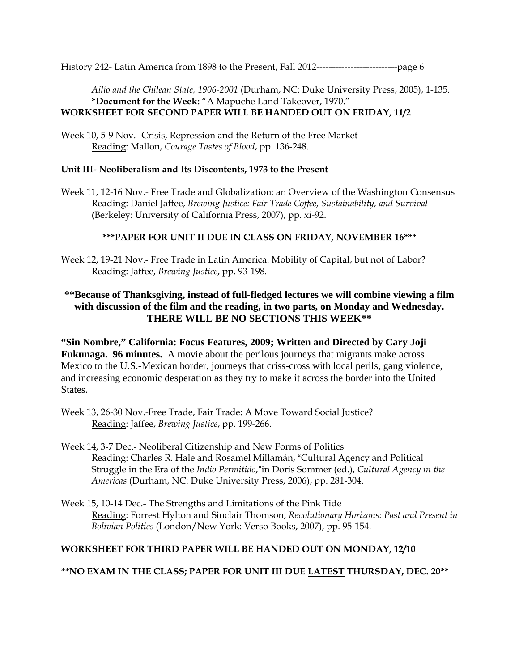*Ailío and the Chilean State, 1906-2001* (Durham, NC: Duke University Press, 2005), 1-135. **\*Document for the Week:** "A Mapuche Land Takeover, 1970." **WORKSHEET FOR SECOND PAPER WILL BE HANDED OUT ON FRIDAY, 11/2** 

Week 10, 5-9 Nov.- Crisis, Repression and the Return of the Free Market Reading: Mallon, *Courage Tastes of Blood*, pp. 136-248.

### **Unit III- Neoliberalism and Its Discontents, 1973 to the Present**

Week 11, 12-16 Nov.- Free Trade and Globalization: an Overview of the Washington Consensus Reading: Daniel Jaffee, *Brewing Justice: Fair Trade Coffee, Sustainability, and Survival* (Berkeley: University of California Press, 2007), pp. xi-92.

## **\*\*\*PAPER FOR UNIT II DUE IN CLASS ON FRIDAY, NOVEMBER 16\*\*\***

Week 12, 19-21 Nov.- Free Trade in Latin America: Mobility of Capital, but not of Labor? Reading: Jaffee, *Brewing Justice*, pp. 93-198.

# **\*\*Because of Thanksgiving, instead of full-fledged lectures we will combine viewing a film with discussion of the film and the reading, in two parts, on Monday and Wednesday. THERE WILL BE NO SECTIONS THIS WEEK\*\***

**"Sin Nombre," California: Focus Features, 2009; Written and Directed by Cary Joji Fukunaga. 96 minutes.** A movie about the perilous journeys that migrants make across Mexico to the U.S.-Mexican border, journeys that criss-cross with local perils, gang violence, and increasing economic desperation as they try to make it across the border into the United States.

- Week 13, 26-30 Nov.-Free Trade, Fair Trade: A Move Toward Social Justice? Reading: Jaffee, *Brewing Justice*, pp. 199-266.
- Week 14, 3-7 Dec.- Neoliberal Citizenship and New Forms of Politics Reading: Charles R. Hale and Rosamel Millamán, "Cultural Agency and Political Struggle in the Era of the *Indio Permitido*,"in Doris Sommer (ed.), *Cultural Agency in the Americas* (Durham, NC: Duke University Press, 2006), pp. 281-304.
- Week 15, 10-14 Dec.- The Strengths and Limitations of the Pink Tide Reading: Forrest Hylton and Sinclair Thomson, *Revolutionary Horizons: Past and Present in Bolivian Politics* (London/New York: Verso Books, 2007), pp. 95-154.

## **WORKSHEET FOR THIRD PAPER WILL BE HANDED OUT ON MONDAY, 12/10**

## **\*\*NO EXAM IN THE CLASS; PAPER FOR UNIT III DUE LATEST THURSDAY, DEC. 20\*\***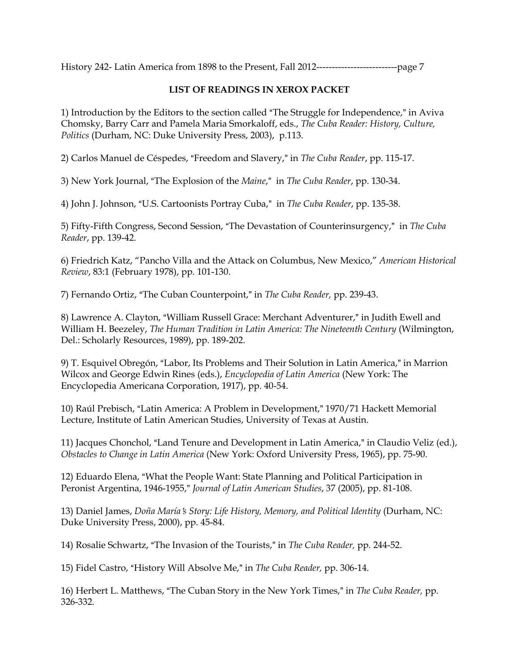### **LIST OF READINGS IN XEROX PACKET**

1) Introduction by the Editors to the section called "The Struggle for Independence," in Aviva Chomsky, Barry Carr and Pamela Maria Smorkaloff, eds., *The Cuba Reader: History, Culture, Politics* (Durham, NC: Duke University Press, 2003), p.113.

2) Carlos Manuel de Céspedes, "Freedom and Slavery," in *The Cuba Reader*, pp. 115-17.

3) New York Journal, "The Explosion of the *Maine*," in *The Cuba Reader*, pp. 130-34.

4) John J. Johnson, "U.S. Cartoonists Portray Cuba," in *The Cuba Reader*, pp. 135-38.

5) Fifty-Fifth Congress, Second Session, "The Devastation of Counterinsurgency," in *The Cuba Reader*, pp. 139-42.

6) Friedrich Katz, "Pancho Villa and the Attack on Columbus, New Mexico," *American Historical Review*, 83:1 (February 1978), pp. 101-130.

7) Fernando Ortiz, "The Cuban Counterpoint," in *The Cuba Reader*, pp. 239-43.

8) Lawrence A. Clayton, "William Russell Grace: Merchant Adventurer," in Judith Ewell and William H. Beezeley, *The Human Tradition in Latin America: The Nineteenth Century* (Wilmington, Del.: Scholarly Resources, 1989), pp. 189-202.

9) T. Esquivel Obregón, "Labor, Its Problems and Their Solution in Latin America," in Marrion Wilcox and George Edwin Rines (eds.), *Encyclopedia of Latin America* (New York: The Encyclopedia Americana Corporation, 1917), pp. 40-54.

10) Raúl Prebisch, "Latin America: A Problem in Development," 1970/71 Hackett Memorial Lecture, Institute of Latin American Studies, University of Texas at Austin.

11) Jacques Chonchol, "Land Tenure and Development in Latin America," in Claudio Veliz (ed.), *Obstacles to Change in Latin America* (New York: Oxford University Press, 1965), pp. 75-90.

12) Eduardo Elena, "What the People Want: State Planning and Political Participation in Peronist Argentina, 1946-1955," *Journal of Latin American Studies*, 37 (2005), pp. 81-108.

13) Daniel James, *Doña María*=*s Story: Life History, Memory, and Political Identity* (Durham, NC: Duke University Press, 2000), pp. 45-84.

14) Rosalie Schwartz, "The Invasion of the Tourists," in *The Cuba Reader*, pp. 244-52.

15) Fidel Castro, "History Will Absolve Me," in *The Cuba Reader*, pp. 306-14.

16) Herbert L. Matthews, "The Cuban Story in the New York Times," in *The Cuba Reader*, pp. 326-332.